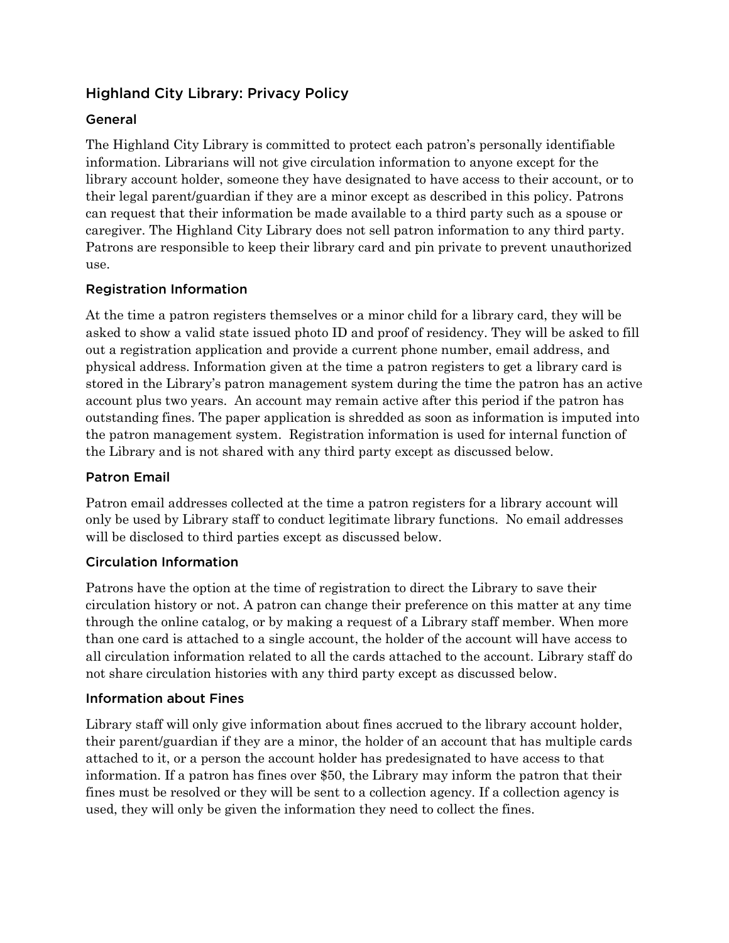# Highland City Library: Privacy Policy

# General

The Highland City Library is committed to protect each patron's personally identifiable information. Librarians will not give circulation information to anyone except for the library account holder, someone they have designated to have access to their account, or to their legal parent/guardian if they are a minor except as described in this policy. Patrons can request that their information be made available to a third party such as a spouse or caregiver. The Highland City Library does not sell patron information to any third party. Patrons are responsible to keep their library card and pin private to prevent unauthorized use.

# Registration Information

At the time a patron registers themselves or a minor child for a library card, they will be asked to show a valid state issued photo ID and proof of residency. They will be asked to fill out a registration application and provide a current phone number, email address, and physical address. Information given at the time a patron registers to get a library card is stored in the Library's patron management system during the time the patron has an active account plus two years. An account may remain active after this period if the patron has outstanding fines. The paper application is shredded as soon as information is imputed into the patron management system. Registration information is used for internal function of the Library and is not shared with any third party except as discussed below.

# Patron Email

Patron email addresses collected at the time a patron registers for a library account will only be used by Library staff to conduct legitimate library functions. No email addresses will be disclosed to third parties except as discussed below.

# Circulation Information

Patrons have the option at the time of registration to direct the Library to save their circulation history or not. A patron can change their preference on this matter at any time through the online catalog, or by making a request of a Library staff member. When more than one card is attached to a single account, the holder of the account will have access to all circulation information related to all the cards attached to the account. Library staff do not share circulation histories with any third party except as discussed below.

# Information about Fines

Library staff will only give information about fines accrued to the library account holder, their parent/guardian if they are a minor, the holder of an account that has multiple cards attached to it, or a person the account holder has predesignated to have access to that information. If a patron has fines over \$50, the Library may inform the patron that their fines must be resolved or they will be sent to a collection agency. If a collection agency is used, they will only be given the information they need to collect the fines.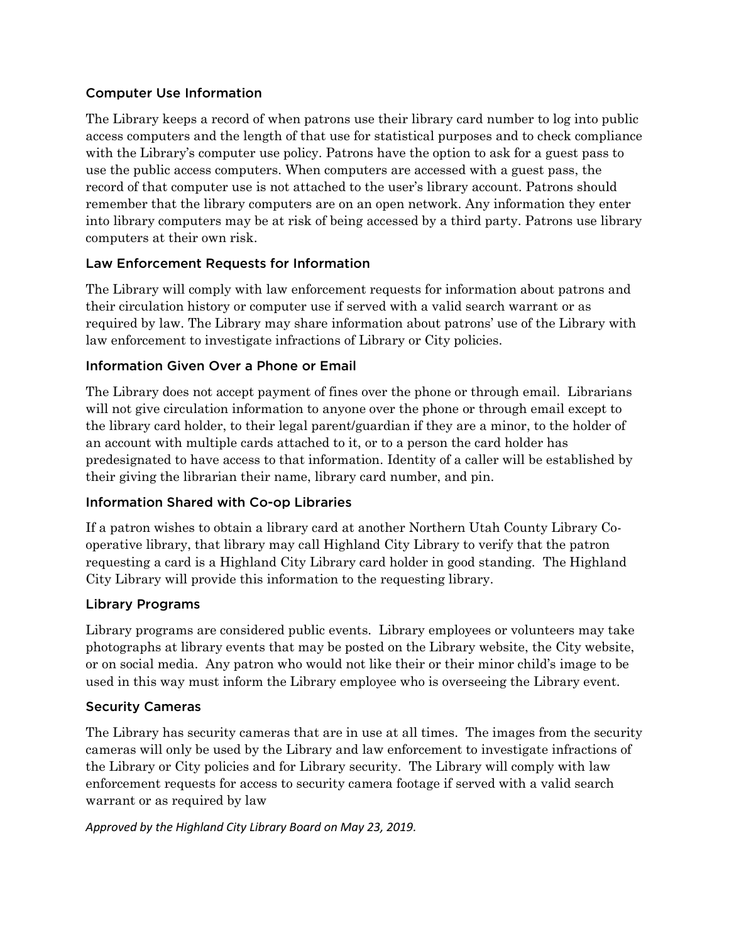# Computer Use Information

The Library keeps a record of when patrons use their library card number to log into public access computers and the length of that use for statistical purposes and to check compliance with the Library's computer use policy. Patrons have the option to ask for a guest pass to use the public access computers. When computers are accessed with a guest pass, the record of that computer use is not attached to the user's library account. Patrons should remember that the library computers are on an open network. Any information they enter into library computers may be at risk of being accessed by a third party. Patrons use library computers at their own risk.

# Law Enforcement Requests for Information

The Library will comply with law enforcement requests for information about patrons and their circulation history or computer use if served with a valid search warrant or as required by law. The Library may share information about patrons' use of the Library with law enforcement to investigate infractions of Library or City policies.

# Information Given Over a Phone or Email

The Library does not accept payment of fines over the phone or through email. Librarians will not give circulation information to anyone over the phone or through email except to the library card holder, to their legal parent/guardian if they are a minor, to the holder of an account with multiple cards attached to it, or to a person the card holder has predesignated to have access to that information. Identity of a caller will be established by their giving the librarian their name, library card number, and pin.

# Information Shared with Co-op Libraries

If a patron wishes to obtain a library card at another Northern Utah County Library Cooperative library, that library may call Highland City Library to verify that the patron requesting a card is a Highland City Library card holder in good standing. The Highland City Library will provide this information to the requesting library.

# Library Programs

Library programs are considered public events. Library employees or volunteers may take photographs at library events that may be posted on the Library website, the City website, or on social media. Any patron who would not like their or their minor child's image to be used in this way must inform the Library employee who is overseeing the Library event.

# Security Cameras

The Library has security cameras that are in use at all times. The images from the security cameras will only be used by the Library and law enforcement to investigate infractions of the Library or City policies and for Library security. The Library will comply with law enforcement requests for access to security camera footage if served with a valid search warrant or as required by law

*Approved by the Highland City Library Board on May 23, 2019.*